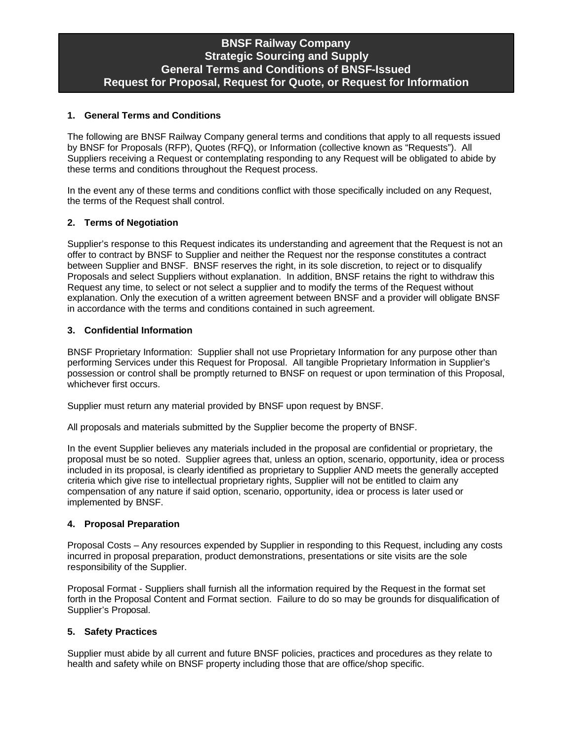# **BNSF Railway Company Strategic Sourcing and Supply General Terms and Conditions of BNSF-Issued Request for Proposal, Request for Quote, or Request for Information**

# **1. General Terms and Conditions**

The following are BNSF Railway Company general terms and conditions that apply to all requests issued by BNSF for Proposals (RFP), Quotes (RFQ), or Information (collective known as "Requests"). All Suppliers receiving a Request or contemplating responding to any Request will be obligated to abide by these terms and conditions throughout the Request process.

In the event any of these terms and conditions conflict with those specifically included on any Request, the terms of the Request shall control.

## **2. Terms of Negotiation**

Supplier's response to this Request indicates its understanding and agreement that the Request is not an offer to contract by BNSF to Supplier and neither the Request nor the response constitutes a contract between Supplier and BNSF. BNSF reserves the right, in its sole discretion, to reject or to disqualify Proposals and select Suppliers without explanation. In addition, BNSF retains the right to withdraw this Request any time, to select or not select a supplier and to modify the terms of the Request without explanation. Only the execution of a written agreement between BNSF and a provider will obligate BNSF in accordance with the terms and conditions contained in such agreement.

## **3. Confidential Information**

BNSF Proprietary Information: Supplier shall not use Proprietary Information for any purpose other than performing Services under this Request for Proposal. All tangible Proprietary Information in Supplier's possession or control shall be promptly returned to BNSF on request or upon termination of this Proposal, whichever first occurs.

Supplier must return any material provided by BNSF upon request by BNSF.

All proposals and materials submitted by the Supplier become the property of BNSF.

In the event Supplier believes any materials included in the proposal are confidential or proprietary, the proposal must be so noted. Supplier agrees that, unless an option, scenario, opportunity, idea or process included in its proposal, is clearly identified as proprietary to Supplier AND meets the generally accepted criteria which give rise to intellectual proprietary rights, Supplier will not be entitled to claim any compensation of any nature if said option, scenario, opportunity, idea or process is later used or implemented by BNSF.

#### **4. Proposal Preparation**

Proposal Costs – Any resources expended by Supplier in responding to this Request, including any costs incurred in proposal preparation, product demonstrations, presentations or site visits are the sole responsibility of the Supplier.

Proposal Format - Suppliers shall furnish all the information required by the Request in the format set forth in the Proposal Content and Format section. Failure to do so may be grounds for disqualification of Supplier's Proposal.

#### **5. Safety Practices**

Supplier must abide by all current and future BNSF policies, practices and procedures as they relate to health and safety while on BNSF property including those that are office/shop specific.